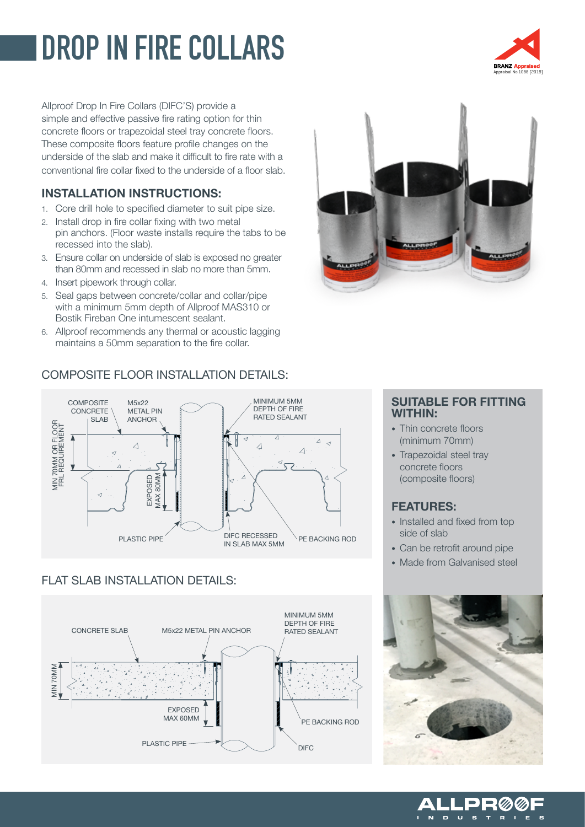# **DROP IN FIRE COLLARS**

Allproof Drop In Fire Collars (DIFC'S) provide a simple and effective passive fire rating option for thin concrete floors or trapezoidal steel tray concrete floors. These composite floors feature profile changes on the underside of the slab and make it difficult to fire rate with a conventional fire collar fixed to the underside of a floor slab.

### INSTALLATION INSTRUCTIONS:

- 1. Core drill hole to specified diameter to suit pipe size.
- 2. Install drop in fire collar fixing with two metal pin anchors. (Floor waste installs require the tabs to be recessed into the slab).
- 3. Ensure collar on underside of slab is exposed no greater than 80mm and recessed in slab no more than 5mm.
- 4. Insert pipework through collar.
- 5. Seal gaps between concrete/collar and collar/pipe with a minimum 5mm depth of Allproof MAS310 or Bostik Fireban One intumescent sealant.
- 6. Allproof recommends any thermal or acoustic lagging maintains a 50mm separation to the fire collar.

# COMPOSITE FLOOR INSTALLATION DETAILS:



# FLAT SLAB INSTALLATION DETAILS:





### SUITABLE FOR FITTING WITHIN:

- Thin concrete floors (minimum 70mm)
- Trapezoidal steel tray concrete floors (composite floors)

# FEATURES:

- Installed and fixed from top side of slab
- Can be retrofit around pipe
- Made from Galvanised steel



 $\mathbf{P} \mathbf{R}$ 

 $\mathbf{M}$ - 6

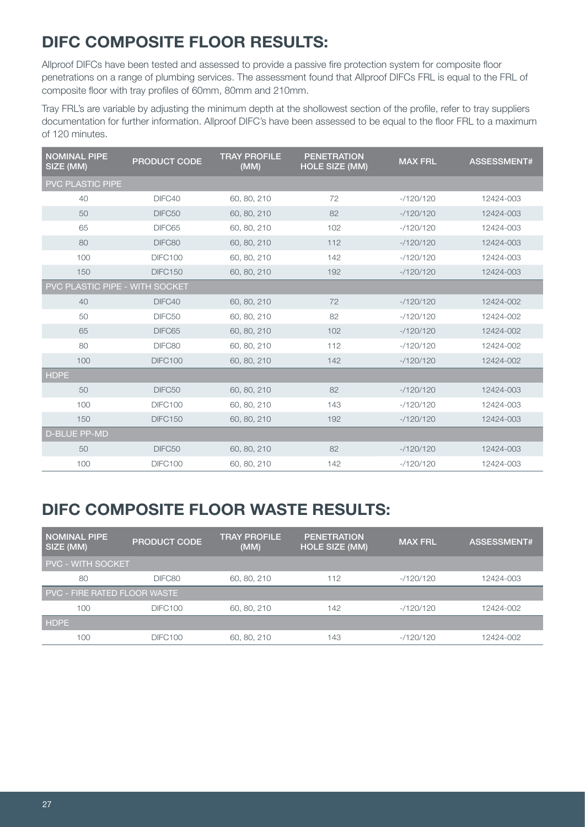# DIFC COMPOSITE FLOOR RESULTS:

Allproof DIFCs have been tested and assessed to provide a passive fire protection system for composite floor penetrations on a range of plumbing services. The assessment found that Allproof DIFCs FRL is equal to the FRL of composite floor with tray profiles of 60mm, 80mm and 210mm.

Tray FRL's are variable by adjusting the minimum depth at the shollowest section of the profile, refer to tray suppliers documentation for further information. Allproof DIFC's have been assessed to be equal to the floor FRL to a maximum of 120 minutes.

| <b>NOMINAL PIPE</b><br>SIZE (MM)      | <b>PRODUCT CODE</b> | <b>TRAY PROFILE</b><br>(MM) | <b>PENETRATION</b><br><b>HOLE SIZE (MM)</b> | <b>MAX FRL</b> | ASSESSMENT# |  |
|---------------------------------------|---------------------|-----------------------------|---------------------------------------------|----------------|-------------|--|
| PVC PLASTIC PIPE                      |                     |                             |                                             |                |             |  |
| 40                                    | DIFC40              | 60, 80, 210                 | 72                                          | $-120/120$     | 12424-003   |  |
| 50                                    | DIFC50              | 60, 80, 210                 | 82                                          | $-120/120$     | 12424-003   |  |
| 65                                    | DIFC65              | 60, 80, 210                 | 102                                         | $-120/120$     | 12424-003   |  |
| 80                                    | DIFC80              | 60, 80, 210                 | 112                                         | $-120/120$     | 12424-003   |  |
| 100                                   | DIFC100             | 60, 80, 210                 | 142                                         | $-120/120$     | 12424-003   |  |
| 150                                   | <b>DIFC150</b>      | 60, 80, 210                 | 192                                         | $-120/120$     | 12424-003   |  |
| <b>PVC PLASTIC PIPE - WITH SOCKET</b> |                     |                             |                                             |                |             |  |
| 40                                    | DIFC40              | 60, 80, 210                 | 72                                          | $-120/120$     | 12424-002   |  |
| 50                                    | DIFC50              | 60, 80, 210                 | 82                                          | $-120/120$     | 12424-002   |  |
| 65                                    | DIFC65              | 60, 80, 210                 | 102                                         | $-120/120$     | 12424-002   |  |
| 80                                    | DIFC80              | 60, 80, 210                 | 112                                         | $-120/120$     | 12424-002   |  |
| 100                                   | <b>DIFC100</b>      | 60, 80, 210                 | 142                                         | $-120/120$     | 12424-002   |  |
| <b>HDPE</b>                           |                     |                             |                                             |                |             |  |
| 50                                    | DIFC50              | 60, 80, 210                 | 82                                          | $-120/120$     | 12424-003   |  |
| 100                                   | <b>DIFC100</b>      | 60, 80, 210                 | 143                                         | $-120/120$     | 12424-003   |  |
| 150                                   | <b>DIFC150</b>      | 60, 80, 210                 | 192                                         | $-120/120$     | 12424-003   |  |
| <b>D-BLUE PP-MD</b>                   |                     |                             |                                             |                |             |  |
| 50                                    | DIFC50              | 60, 80, 210                 | 82                                          | $-120/120$     | 12424-003   |  |
| 100                                   | <b>DIFC100</b>      | 60, 80, 210                 | 142                                         | $-120/120$     | 12424-003   |  |

# DIFC COMPOSITE FLOOR WASTE RESULTS:

| I NOMINAL PIPE<br>SIZE (MM)         | <b>PRODUCT CODE</b> | <b>TRAY PROFILE</b><br>(MM) | <b>PENETRATION</b><br><b>HOLE SIZE (MM)</b> | <b>MAX FRL</b> | ASSESSMENT# |  |  |
|-------------------------------------|---------------------|-----------------------------|---------------------------------------------|----------------|-------------|--|--|
| <b>PVC - WITH SOCKET</b>            |                     |                             |                                             |                |             |  |  |
| 80                                  | DIFC80              | 60, 80, 210                 | 112                                         | $-120/120$     | 12424-003   |  |  |
| <b>PVC - FIRE RATED FLOOR WASTE</b> |                     |                             |                                             |                |             |  |  |
| 100                                 | <b>DIFC100</b>      | 60, 80, 210                 | 142                                         | $-120/120$     | 12424-002   |  |  |
| <b>HDPE</b>                         |                     |                             |                                             |                |             |  |  |
| 100                                 | DIFC100             | 60, 80, 210                 | 143                                         | $-120/120$     | 12424-002   |  |  |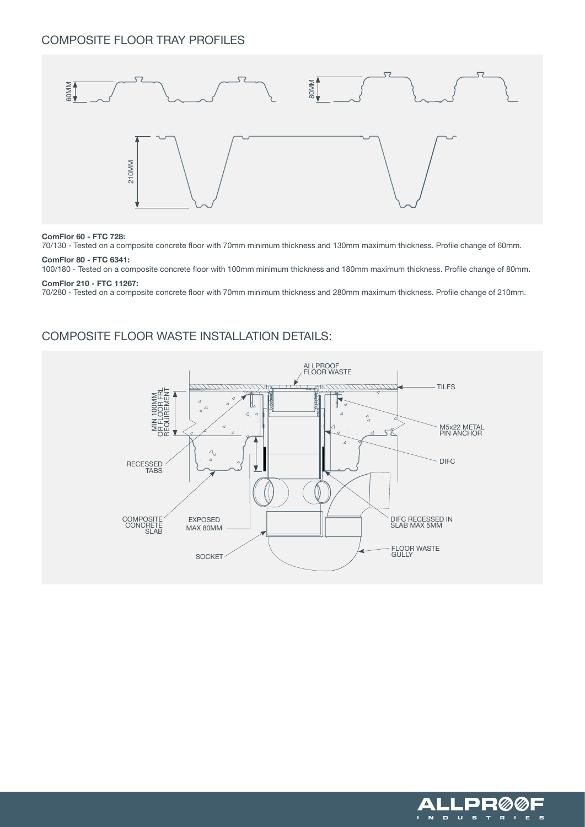### COMPOSITE FLOOR TRAY PROFILES



#### ComFlor 60 - FTC 728:

70/130 - Tested on a composite concrete floor with 70mm minimum thickness and 130mm maximum thickness. Profile change of 60mm.

#### ComFlor 80 - FTC 6341:

100/180 - Tested on a composite concrete floor with 100mm minimum thickness and 180mm maximum thickness. Profile change of 80mm.

#### ComFlor 210 - FTC 11267:

70/280 - Tested on a composite concrete floor with 70mm minimum thickness and 280mm maximum thickness. Profile change of 210mm.

### COMPOSITE FLOOR WASTE INSTALLATION DETAILS:



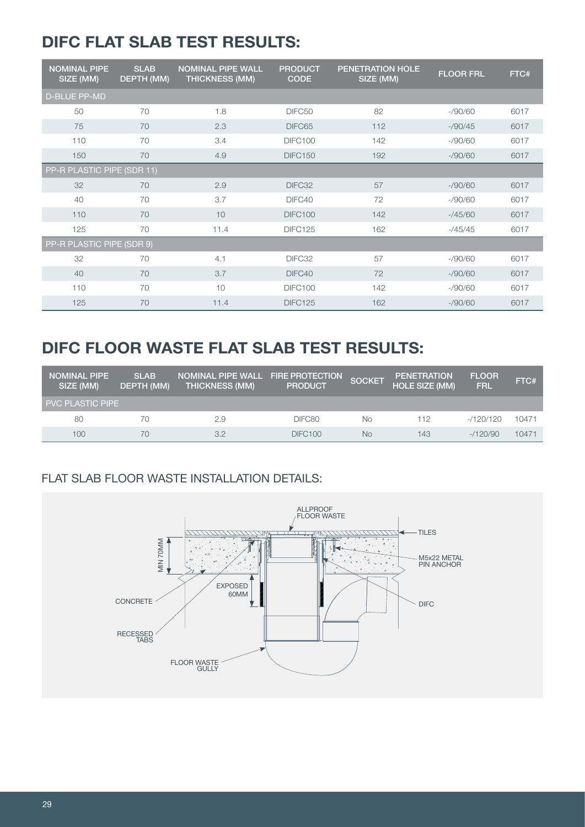# DIFC FLAT SLAB TEST RESULTS:

| <b>NOMINAL PIPE</b><br>SIZE (MM) | <b>SLAB</b><br>DEPTH (MM) | <b>NOMINAL PIPE WALL</b><br><b>THICKNESS (MM)</b> | <b>PRODUCT</b><br><b>CODE</b> | <b>PENETRATION HOLE</b><br>SIZE (MM) | <b>FLOOR FRL</b> | FTC# |
|----------------------------------|---------------------------|---------------------------------------------------|-------------------------------|--------------------------------------|------------------|------|
| <b>D-BLUE PP-MD</b>              |                           |                                                   |                               |                                      |                  |      |
| 50                               | 70                        | 1.8                                               | DIFC50                        | 82                                   | $-$ /90/60       | 6017 |
| 75                               | 70                        | 2.3                                               | DIFC65                        | 112                                  | $-$ /90/45       | 6017 |
| 110                              | 70                        | 3.4                                               | DIFC100                       | 142                                  | $-$ /90/60       | 6017 |
| 150                              | 70                        | 4.9                                               | <b>DIFC150</b>                | 192                                  | $-$ /90/60       | 6017 |
| PP-R PLASTIC PIPE (SDR 11)       |                           |                                                   |                               |                                      |                  |      |
| 32                               | 70                        | 2.9                                               | DIFC32                        | 57                                   | $-$ /90/60       | 6017 |
| 40                               | 70                        | 3.7                                               | DIFC40                        | 72                                   | $-$ /90/60       | 6017 |
| 110                              | 70                        | 10                                                | <b>DIFC100</b>                | 142                                  | $-145/60$        | 6017 |
| 125                              | 70                        | 11.4                                              | <b>DIFC125</b>                | 162                                  | $-745/45$        | 6017 |
| PP-R PLASTIC PIPE (SDR 9)        |                           |                                                   |                               |                                      |                  |      |
| 32                               | 70                        | 4.1                                               | DIFC32                        | 57                                   | $-$ /90/60       | 6017 |
| 40                               | 70                        | 3.7                                               | DIFC40                        | 72                                   | $-$ /90/60       | 6017 |
| 110                              | 70                        | 10                                                | <b>DIFC100</b>                | 142                                  | $-$ /90/60       | 6017 |
| 125                              | 70                        | 11.4                                              | <b>DIFC125</b>                | 162                                  | $-$ /90/60       | 6017 |

# DIFC FLOOR WASTE FLAT SLAB TEST RESULTS:

| <b>NOMINAL PIPE</b><br>SIZE (MM) | <b>SLAB</b><br><b>DEPTH (MM)</b> | NOMINAL PIPE WALL FIRE PROTECTION<br><b>THICKNESS (MM)</b> | <b>PRODUCT</b> | <b>SOCKET</b> | <b>PENETRATION</b><br><b>HOLE SIZE (MM)</b> | <b>FLOOR</b><br><b>FRL</b> | FTC#  |
|----------------------------------|----------------------------------|------------------------------------------------------------|----------------|---------------|---------------------------------------------|----------------------------|-------|
| PVC PLASTIC PIPE                 |                                  |                                                            |                |               |                                             |                            |       |
| 80                               | 70                               | 2.9                                                        | DIFC80         | No            | 112                                         | $-120/120$                 | 10471 |
| 100                              | 70                               | 3.2                                                        | DIFC100        | No            | 143                                         | $-1120/90$                 | 10471 |

# FLAT SLAB FLOOR WASTE INSTALLATION DETAILS:

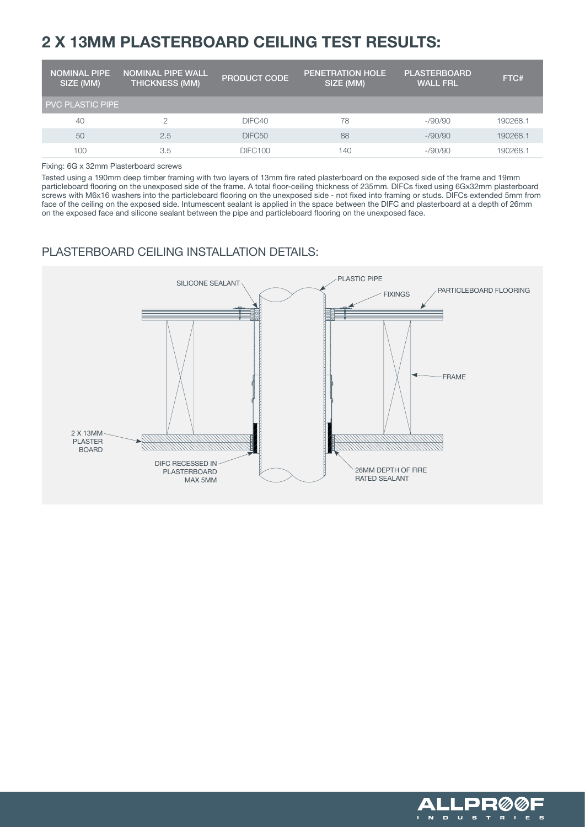# 2 X 13MM PLASTERBOARD CEILING TEST RESULTS:

| NOMINAL PIPE '<br>SIZE (MM) | <b>NOMINAL PIPE WALL</b><br><b>THICKNESS (MM)</b> | <b>PRODUCT CODE</b> | <b>PENETRATION HOLE</b><br>SIZE (MM) | <b>PLASTERBOARD</b><br><b>WALL FRL</b> | FTC#     |
|-----------------------------|---------------------------------------------------|---------------------|--------------------------------------|----------------------------------------|----------|
| <b>PVC PLASTIC PIPE</b>     |                                                   |                     |                                      |                                        |          |
| 40                          |                                                   | DIFC40              | 78                                   | $-$ /90/90                             | 190268.1 |
| 50                          | 2.5                                               | DIFC50              | 88                                   | $-$ /90/90                             | 190268.1 |
| 100                         | 3.5                                               | <b>DIFC100</b>      | 140                                  | $-$ /90/90                             | 190268.1 |

Fixing: 6G x 32mm Plasterboard screws

Tested using a 190mm deep timber framing with two layers of 13mm fire rated plasterboard on the exposed side of the frame and 19mm particleboard flooring on the unexposed side of the frame. A total floor-ceiling thickness of 235mm. DIFCs fixed using 6Gx32mm plasterboard screws with M6x16 washers into the particleboard flooring on the unexposed side - not fixed into framing or studs. DIFCs extended 5mm from face of the ceiling on the exposed side. Intumescent sealant is applied in the space between the DIFC and plasterboard at a depth of 26mm on the exposed face and silicone sealant between the pipe and particleboard flooring on the unexposed face.

### PLASTERBOARD CEILING INSTALLATION DETAILS: